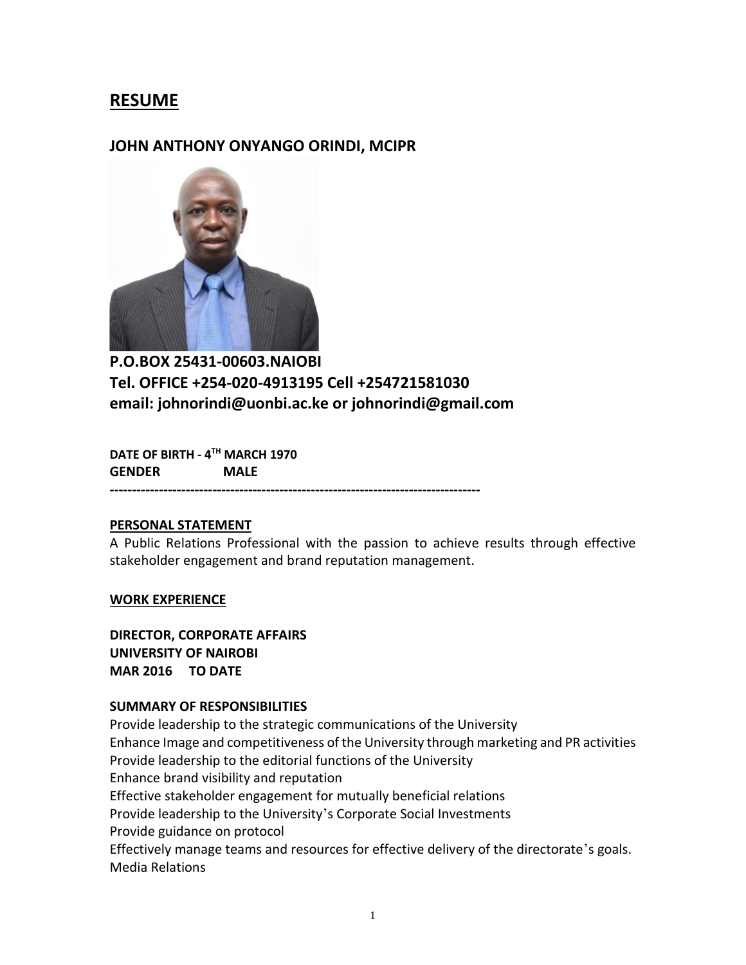# **RESUME**

## **JOHN ANTHONY ONYANGO ORINDI, MCIPR**



**P.O.BOX 25431-00603.NAIOBI Tel. OFFICE +254-020-4913195 Cell +254721581030 email: johnorindi@uonbi.ac.ke or johnorindi@gmail.com**

**DATE OF BIRTH - 4 TH MARCH 1970 GENDER MALE** 

**-----------------------------------------------------------------------------------**

### **PERSONAL STATEMENT**

A Public Relations Professional with the passion to achieve results through effective stakeholder engagement and brand reputation management.

#### **WORK EXPERIENCE**

**DIRECTOR, CORPORATE AFFAIRS UNIVERSITY OF NAIROBI MAR 2016 TO DATE** 

## **SUMMARY OF RESPONSIBILITIES**

Provide leadership to the strategic communications of the University Enhance Image and competitiveness of the University through marketing and PR activities Provide leadership to the editorial functions of the University Enhance brand visibility and reputation Effective stakeholder engagement for mutually beneficial relations Provide leadership to the University's Corporate Social Investments Provide guidance on protocol Effectively manage teams and resources for effective delivery of the directorate's goals. Media Relations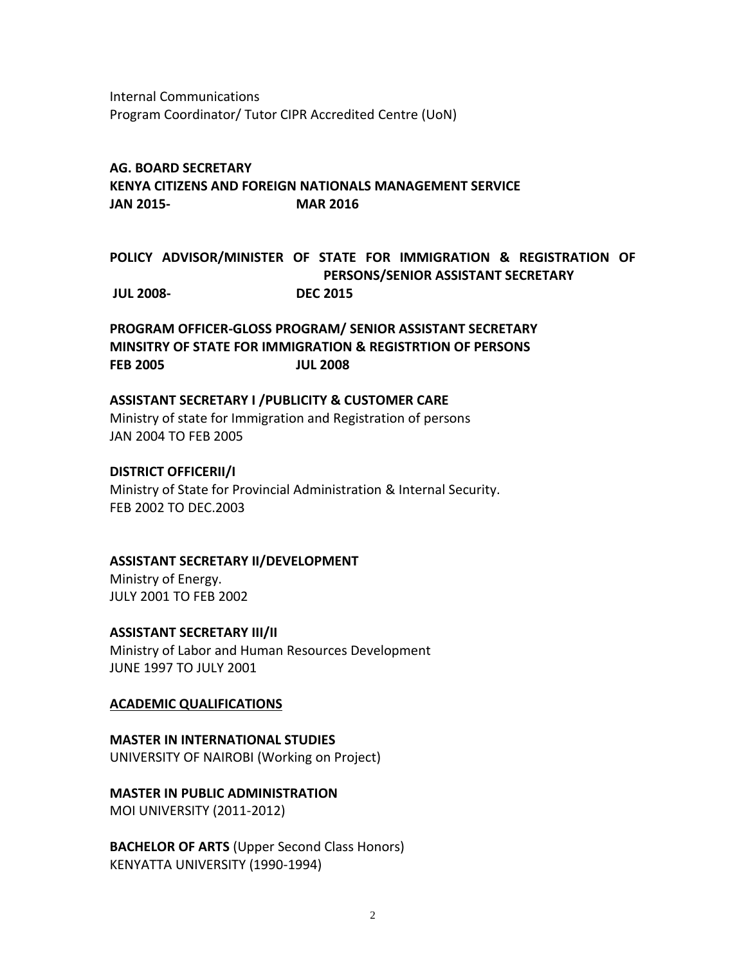Internal Communications Program Coordinator/ Tutor CIPR Accredited Centre (UoN)

#### **AG. BOARD SECRETARY**

**KENYA CITIZENS AND FOREIGN NATIONALS MANAGEMENT SERVICE JAN 2015- MAR 2016**

## **POLICY ADVISOR/MINISTER OF STATE FOR IMMIGRATION & REGISTRATION OF PERSONS/SENIOR ASSISTANT SECRETARY JUL 2008- DEC 2015**

**PROGRAM OFFICER-GLOSS PROGRAM/ SENIOR ASSISTANT SECRETARY MINSITRY OF STATE FOR IMMIGRATION & REGISTRTION OF PERSONS FEB 2005 JUL 2008**

#### **ASSISTANT SECRETARY I /PUBLICITY & CUSTOMER CARE**

Ministry of state for Immigration and Registration of persons JAN 2004 TO FEB 2005

#### **DISTRICT OFFICERII/I**

Ministry of State for Provincial Administration & Internal Security. FEB 2002 TO DEC.2003

#### **ASSISTANT SECRETARY II/DEVELOPMENT**

Ministry of Energy. JULY 2001 TO FEB 2002

#### **ASSISTANT SECRETARY III/II**

Ministry of Labor and Human Resources Development JUNE 1997 TO JULY 2001

### **ACADEMIC QUALIFICATIONS**

**MASTER IN INTERNATIONAL STUDIES**  UNIVERSITY OF NAIROBI (Working on Project)

**MASTER IN PUBLIC ADMINISTRATION** MOI UNIVERSITY (2011-2012)

**BACHELOR OF ARTS** (Upper Second Class Honors) KENYATTA UNIVERSITY (1990-1994)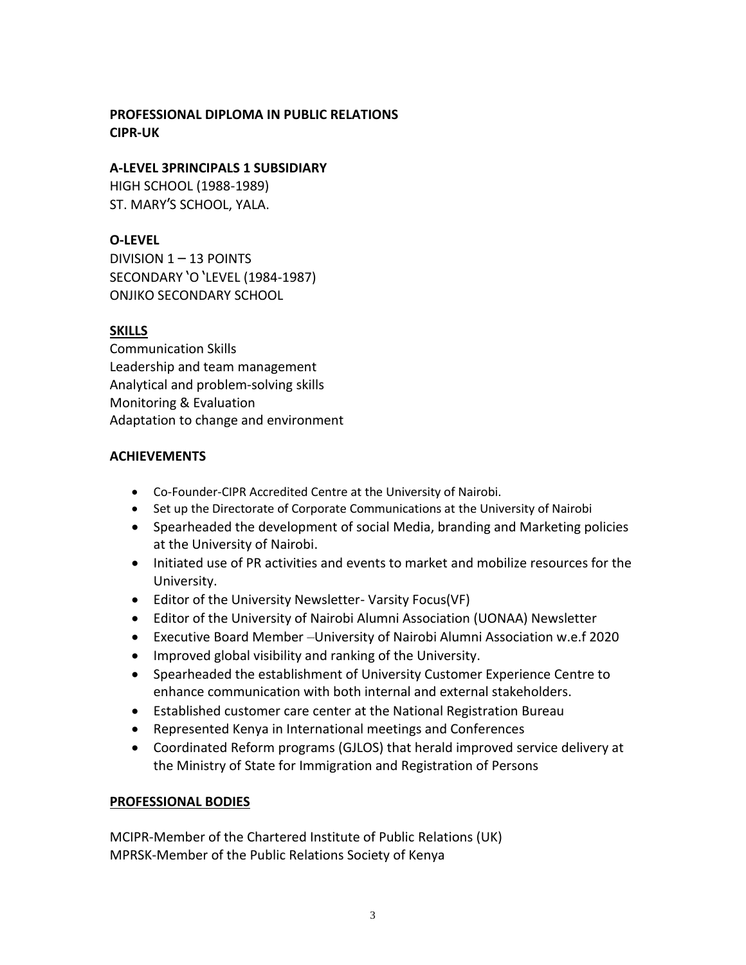## **PROFESSIONAL DIPLOMA IN PUBLIC RELATIONS CIPR-UK**

## **A-LEVEL 3PRINCIPALS 1 SUBSIDIARY**

HIGH SCHOOL (1988-1989) ST. MARY'S SCHOOL, YALA.

## **O-LEVEL**

DIVISION  $1 - 13$  POINTS SECONDARY 'O 'LEVEL (1984-1987) ONJIKO SECONDARY SCHOOL

## **SKILLS**

Communication Skills Leadership and team management Analytical and problem-solving skills Monitoring & Evaluation Adaptation to change and environment

## **ACHIEVEMENTS**

- Co-Founder-CIPR Accredited Centre at the University of Nairobi.
- Set up the Directorate of Corporate Communications at the University of Nairobi
- Spearheaded the development of social Media, branding and Marketing policies at the University of Nairobi.
- Initiated use of PR activities and events to market and mobilize resources for the University.
- Editor of the University Newsletter- Varsity Focus(VF)
- Editor of the University of Nairobi Alumni Association (UONAA) Newsletter
- Executive Board Member –University of Nairobi Alumni Association w.e.f 2020
- Improved global visibility and ranking of the University.
- Spearheaded the establishment of University Customer Experience Centre to enhance communication with both internal and external stakeholders.
- Established customer care center at the National Registration Bureau
- Represented Kenya in International meetings and Conferences
- Coordinated Reform programs (GJLOS) that herald improved service delivery at the Ministry of State for Immigration and Registration of Persons

## **PROFESSIONAL BODIES**

MCIPR-Member of the Chartered Institute of Public Relations (UK) MPRSK-Member of the Public Relations Society of Kenya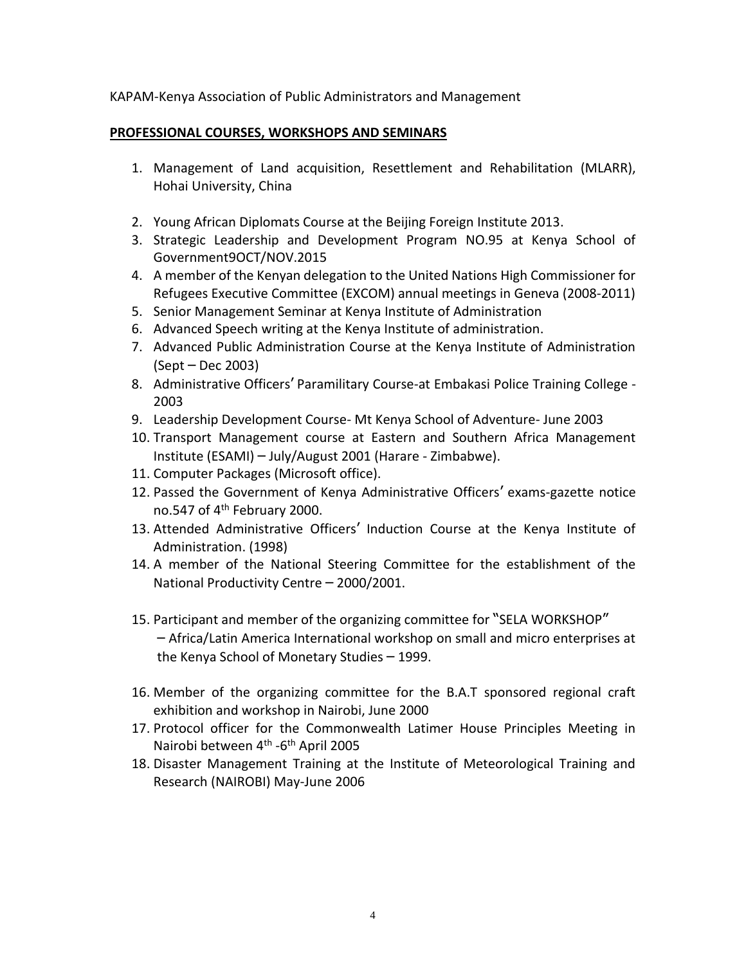### KAPAM-Kenya Association of Public Administrators and Management

### **PROFESSIONAL COURSES, WORKSHOPS AND SEMINARS**

- 1. Management of Land acquisition, Resettlement and Rehabilitation (MLARR), Hohai University, China
- 2. Young African Diplomats Course at the Beijing Foreign Institute 2013.
- 3. Strategic Leadership and Development Program NO.95 at Kenya School of Government9OCT/NOV.2015
- 4. A member of the Kenyan delegation to the United Nations High Commissioner for Refugees Executive Committee (EXCOM) annual meetings in Geneva (2008-2011)
- 5. Senior Management Seminar at Kenya Institute of Administration
- 6. Advanced Speech writing at the Kenya Institute of administration.
- 7. Advanced Public Administration Course at the Kenya Institute of Administration (Sept – Dec 2003)
- 8. Administrative Officers' Paramilitary Course-at Embakasi Police Training College 2003
- 9. Leadership Development Course- Mt Kenya School of Adventure- June 2003
- 10. Transport Management course at Eastern and Southern Africa Management Institute (ESAMI) – July/August 2001 (Harare - Zimbabwe).
- 11. Computer Packages (Microsoft office).
- 12. Passed the Government of Kenya Administrative Officers' exams-gazette notice no.547 of 4<sup>th</sup> February 2000.
- 13. Attended Administrative Officers' Induction Course at the Kenya Institute of Administration. (1998)
- 14. A member of the National Steering Committee for the establishment of the National Productivity Centre – 2000/2001.
- 15. Participant and member of the organizing committee for "SELA WORKSHOP" – Africa/Latin America International workshop on small and micro enterprises at the Kenya School of Monetary Studies – 1999.
- 16. Member of the organizing committee for the B.A.T sponsored regional craft exhibition and workshop in Nairobi, June 2000
- 17. Protocol officer for the Commonwealth Latimer House Principles Meeting in Nairobi between 4<sup>th</sup> -6<sup>th</sup> April 2005
- 18. Disaster Management Training at the Institute of Meteorological Training and Research (NAIROBI) May-June 2006